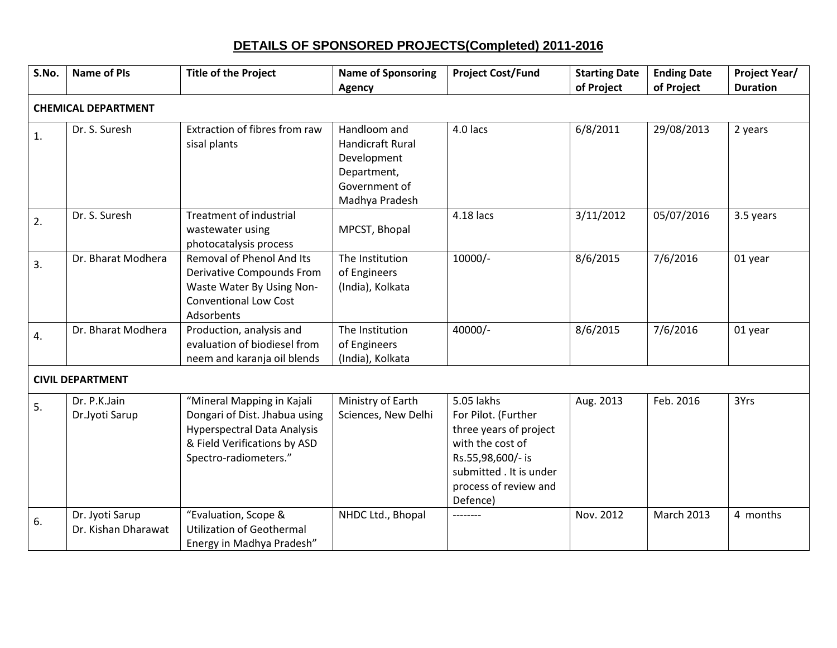| DETAILS OF SPONSORED PROJECTS(Completed) 2011-2016 |
|----------------------------------------------------|
|----------------------------------------------------|

| S.No.                      | <b>Name of PIs</b>                     | <b>Title of the Project</b>                                                                                                                                | <b>Name of Sponsoring</b><br>Agency                                                               | <b>Project Cost/Fund</b>                                                                                                                                             | <b>Starting Date</b><br>of Project | <b>Ending Date</b><br>of Project | <b>Project Year/</b><br><b>Duration</b> |  |  |
|----------------------------|----------------------------------------|------------------------------------------------------------------------------------------------------------------------------------------------------------|---------------------------------------------------------------------------------------------------|----------------------------------------------------------------------------------------------------------------------------------------------------------------------|------------------------------------|----------------------------------|-----------------------------------------|--|--|
| <b>CHEMICAL DEPARTMENT</b> |                                        |                                                                                                                                                            |                                                                                                   |                                                                                                                                                                      |                                    |                                  |                                         |  |  |
| 1.                         | Dr. S. Suresh                          | Extraction of fibres from raw<br>sisal plants                                                                                                              | Handloom and<br>Handicraft Rural<br>Development<br>Department,<br>Government of<br>Madhya Pradesh | 4.0 lacs                                                                                                                                                             | 6/8/2011                           | 29/08/2013                       | 2 years                                 |  |  |
| 2.                         | Dr. S. Suresh                          | <b>Treatment of industrial</b><br>wastewater using<br>photocatalysis process                                                                               | MPCST, Bhopal                                                                                     | 4.18 lacs                                                                                                                                                            | 3/11/2012                          | 05/07/2016                       | 3.5 years                               |  |  |
| 3.                         | Dr. Bharat Modhera                     | Removal of Phenol And Its<br>Derivative Compounds From<br>Waste Water By Using Non-<br><b>Conventional Low Cost</b><br>Adsorbents                          | The Institution<br>of Engineers<br>(India), Kolkata                                               | 10000/-                                                                                                                                                              | 8/6/2015                           | 7/6/2016                         | 01 year                                 |  |  |
| 4.                         | Dr. Bharat Modhera                     | Production, analysis and<br>evaluation of biodiesel from<br>neem and karanja oil blends                                                                    | The Institution<br>of Engineers<br>(India), Kolkata                                               | 40000/-                                                                                                                                                              | 8/6/2015                           | 7/6/2016                         | 01 year                                 |  |  |
|                            | <b>CIVIL DEPARTMENT</b>                |                                                                                                                                                            |                                                                                                   |                                                                                                                                                                      |                                    |                                  |                                         |  |  |
| 5.                         | Dr. P.K.Jain<br>Dr.Jyoti Sarup         | "Mineral Mapping in Kajali<br>Dongari of Dist. Jhabua using<br><b>Hyperspectral Data Analysis</b><br>& Field Verifications by ASD<br>Spectro-radiometers." | Ministry of Earth<br>Sciences, New Delhi                                                          | 5.05 lakhs<br>For Pilot. (Further<br>three years of project<br>with the cost of<br>Rs.55,98,600/- is<br>submitted . It is under<br>process of review and<br>Defence) | Aug. 2013                          | Feb. 2016                        | 3Yrs                                    |  |  |
| 6.                         | Dr. Jyoti Sarup<br>Dr. Kishan Dharawat | "Evaluation, Scope &<br><b>Utilization of Geothermal</b><br>Energy in Madhya Pradesh"                                                                      | NHDC Ltd., Bhopal                                                                                 | --------                                                                                                                                                             | Nov. 2012                          | <b>March 2013</b>                | 4 months                                |  |  |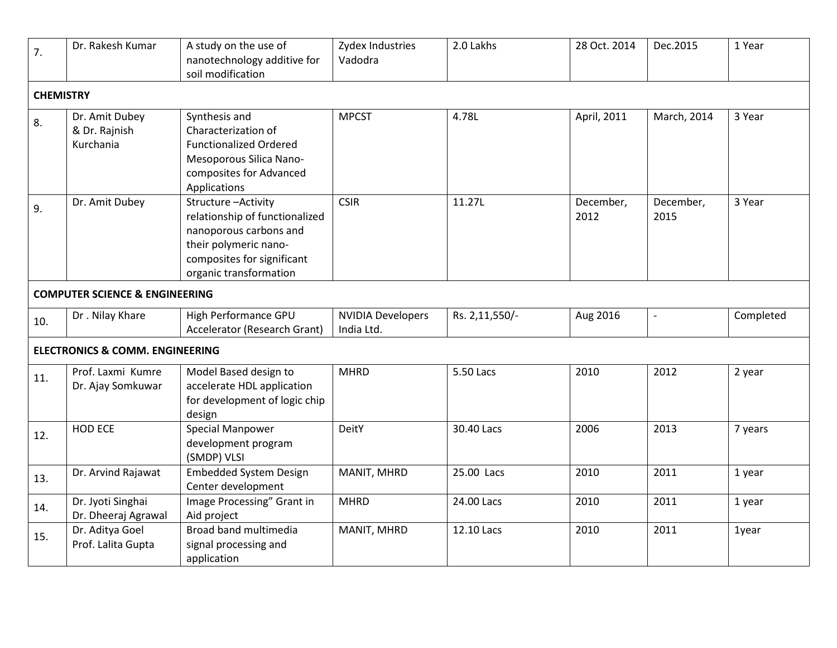| $\overline{7}$ .                           | Dr. Rakesh Kumar                                            | A study on the use of<br>nanotechnology additive for<br>soil modification                                                                                       | Zydex Industries<br>Vadodra            | 2.0 Lakhs      | 28 Oct. 2014      | Dec.2015          | 1 Year       |  |  |
|--------------------------------------------|-------------------------------------------------------------|-----------------------------------------------------------------------------------------------------------------------------------------------------------------|----------------------------------------|----------------|-------------------|-------------------|--------------|--|--|
| <b>CHEMISTRY</b>                           |                                                             |                                                                                                                                                                 |                                        |                |                   |                   |              |  |  |
| 8.                                         | Dr. Amit Dubey<br>& Dr. Rajnish<br>Kurchania                | Synthesis and<br>Characterization of<br><b>Functionalized Ordered</b><br>Mesoporous Silica Nano-<br>composites for Advanced<br>Applications                     | <b>MPCST</b>                           | 4.78L          | April, 2011       | March, 2014       | 3 Year       |  |  |
| 9.                                         | Dr. Amit Dubey<br><b>COMPUTER SCIENCE &amp; ENGINEERING</b> | Structure-Activity<br>relationship of functionalized<br>nanoporous carbons and<br>their polymeric nano-<br>composites for significant<br>organic transformation | <b>CSIR</b>                            | 11.27L         | December,<br>2012 | December,<br>2015 | 3 Year       |  |  |
|                                            |                                                             |                                                                                                                                                                 |                                        |                |                   |                   |              |  |  |
| 10.                                        | Dr. Nilay Khare                                             | High Performance GPU<br>Accelerator (Research Grant)                                                                                                            | <b>NVIDIA Developers</b><br>India Ltd. | Rs. 2,11,550/- | Aug 2016          |                   | Completed    |  |  |
| <b>ELECTRONICS &amp; COMM. ENGINEERING</b> |                                                             |                                                                                                                                                                 |                                        |                |                   |                   |              |  |  |
| 11.                                        | Prof. Laxmi Kumre<br>Dr. Ajay Somkuwar                      | Model Based design to<br>accelerate HDL application<br>for development of logic chip<br>design                                                                  | <b>MHRD</b>                            | 5.50 Lacs      | 2010              | 2012              | 2 year       |  |  |
| 12.                                        | HOD ECE                                                     | Special Manpower<br>development program<br>(SMDP) VLSI                                                                                                          | DeitY                                  | 30.40 Lacs     | 2006              | 2013              | 7 years      |  |  |
| 13.                                        | Dr. Arvind Rajawat                                          | <b>Embedded System Design</b><br>Center development                                                                                                             | MANIT, MHRD                            | 25.00 Lacs     | 2010              | 2011              | 1 year       |  |  |
| 14.                                        | Dr. Jyoti Singhai<br>Dr. Dheeraj Agrawal                    | Image Processing" Grant in<br>Aid project                                                                                                                       | <b>MHRD</b>                            | 24.00 Lacs     | 2010              | 2011              | 1 year       |  |  |
| 15.                                        | Dr. Aditya Goel<br>Prof. Lalita Gupta                       | <b>Broad band multimedia</b><br>signal processing and<br>application                                                                                            | MANIT, MHRD                            | 12.10 Lacs     | 2010              | 2011              | <b>1year</b> |  |  |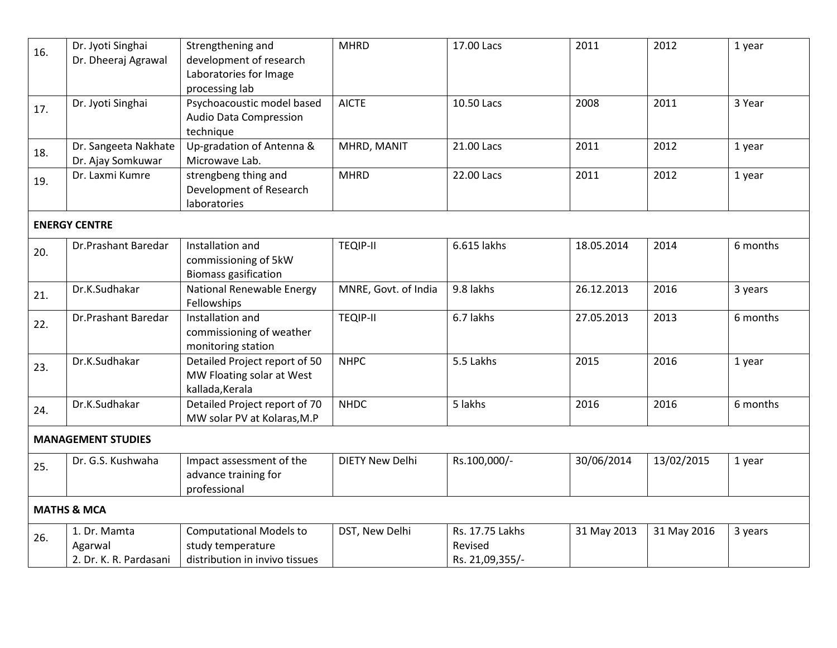| 16.                       | Dr. Jyoti Singhai<br>Dr. Dheeraj Agrawal          | Strengthening and<br>development of research<br>Laboratories for Image                | <b>MHRD</b>            | 17.00 Lacs                                    | 2011        | 2012        | 1 year   |  |  |
|---------------------------|---------------------------------------------------|---------------------------------------------------------------------------------------|------------------------|-----------------------------------------------|-------------|-------------|----------|--|--|
|                           |                                                   | processing lab                                                                        |                        |                                               |             |             |          |  |  |
| 17.                       | Dr. Jyoti Singhai                                 | Psychoacoustic model based<br>Audio Data Compression<br>technique                     | <b>AICTE</b>           | 10.50 Lacs                                    | 2008        | 2011        | 3 Year   |  |  |
| 18.                       | Dr. Sangeeta Nakhate<br>Dr. Ajay Somkuwar         | Up-gradation of Antenna &<br>Microwave Lab.                                           | MHRD, MANIT            | 21.00 Lacs                                    | 2011        | 2012        | 1 year   |  |  |
| 19.                       | Dr. Laxmi Kumre                                   | strengbeng thing and<br>Development of Research<br>laboratories                       | <b>MHRD</b>            | 22.00 Lacs                                    | 2011        | 2012        | 1 year   |  |  |
| <b>ENERGY CENTRE</b>      |                                                   |                                                                                       |                        |                                               |             |             |          |  |  |
| 20.                       | Dr.Prashant Baredar                               | Installation and<br>commissioning of 5kW<br><b>Biomass gasification</b>               | <b>TEQIP-II</b>        | 6.615 lakhs                                   | 18.05.2014  | 2014        | 6 months |  |  |
| 21.                       | Dr.K.Sudhakar                                     | <b>National Renewable Energy</b><br>Fellowships                                       | MNRE, Govt. of India   | 9.8 lakhs                                     | 26.12.2013  | 2016        | 3 years  |  |  |
| 22.                       | Dr.Prashant Baredar                               | Installation and<br>commissioning of weather<br>monitoring station                    | <b>TEQIP-II</b>        | 6.7 lakhs                                     | 27.05.2013  | 2013        | 6 months |  |  |
| 23.                       | Dr.K.Sudhakar                                     | Detailed Project report of 50<br>MW Floating solar at West<br>kallada, Kerala         | <b>NHPC</b>            | 5.5 Lakhs                                     | 2015        | 2016        | 1 year   |  |  |
| 24.                       | Dr.K.Sudhakar                                     | Detailed Project report of 70<br>MW solar PV at Kolaras, M.P                          | <b>NHDC</b>            | 5 lakhs                                       | 2016        | 2016        | 6 months |  |  |
| <b>MANAGEMENT STUDIES</b> |                                                   |                                                                                       |                        |                                               |             |             |          |  |  |
| 25.                       | Dr. G.S. Kushwaha                                 | Impact assessment of the<br>advance training for<br>professional                      | <b>DIETY New Delhi</b> | Rs.100,000/-                                  | 30/06/2014  | 13/02/2015  | 1 year   |  |  |
| <b>MATHS &amp; MCA</b>    |                                                   |                                                                                       |                        |                                               |             |             |          |  |  |
| 26.                       | 1. Dr. Mamta<br>Agarwal<br>2. Dr. K. R. Pardasani | <b>Computational Models to</b><br>study temperature<br>distribution in invivo tissues | DST, New Delhi         | Rs. 17.75 Lakhs<br>Revised<br>Rs. 21,09,355/- | 31 May 2013 | 31 May 2016 | 3 years  |  |  |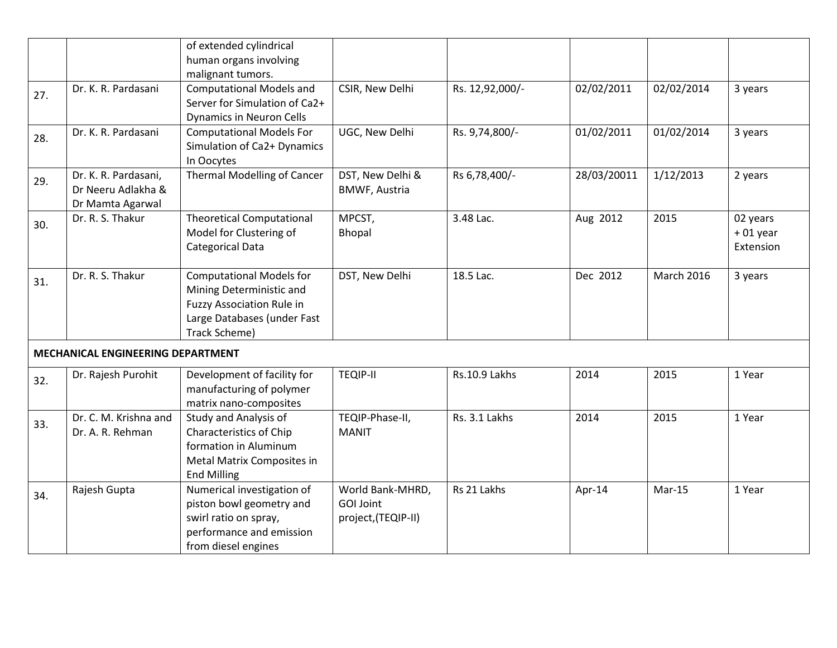|     |                                                                | of extended cylindrical                                                                                                                         |                                                             |                 |             |                   |                                     |
|-----|----------------------------------------------------------------|-------------------------------------------------------------------------------------------------------------------------------------------------|-------------------------------------------------------------|-----------------|-------------|-------------------|-------------------------------------|
|     |                                                                | human organs involving<br>malignant tumors.                                                                                                     |                                                             |                 |             |                   |                                     |
| 27. | Dr. K. R. Pardasani                                            | <b>Computational Models and</b><br>Server for Simulation of Ca2+<br><b>Dynamics in Neuron Cells</b>                                             | CSIR, New Delhi                                             | Rs. 12,92,000/- | 02/02/2011  | 02/02/2014        | 3 years                             |
| 28. | Dr. K. R. Pardasani                                            | <b>Computational Models For</b><br>Simulation of Ca2+ Dynamics<br>In Oocytes                                                                    | UGC, New Delhi                                              | Rs. 9,74,800/-  | 01/02/2011  | 01/02/2014        | 3 years                             |
| 29. | Dr. K. R. Pardasani,<br>Dr Neeru Adlakha &<br>Dr Mamta Agarwal | <b>Thermal Modelling of Cancer</b>                                                                                                              | DST, New Delhi &<br><b>BMWF, Austria</b>                    | Rs 6,78,400/-   | 28/03/20011 | 1/12/2013         | 2 years                             |
| 30. | Dr. R. S. Thakur                                               | <b>Theoretical Computational</b><br>Model for Clustering of<br>Categorical Data                                                                 | MPCST,<br>Bhopal                                            | 3.48 Lac.       | Aug 2012    | 2015              | 02 years<br>$+01$ year<br>Extension |
| 31. | Dr. R. S. Thakur                                               | <b>Computational Models for</b><br>Mining Deterministic and<br><b>Fuzzy Association Rule in</b><br>Large Databases (under Fast<br>Track Scheme) | DST, New Delhi                                              | 18.5 Lac.       | Dec 2012    | <b>March 2016</b> | 3 years                             |
|     | MECHANICAL ENGINEERING DEPARTMENT                              |                                                                                                                                                 |                                                             |                 |             |                   |                                     |
| 32. | Dr. Rajesh Purohit                                             | Development of facility for<br>manufacturing of polymer<br>matrix nano-composites                                                               | <b>TEQIP-II</b>                                             | Rs.10.9 Lakhs   | 2014        | 2015              | 1 Year                              |
| 33. | Dr. C. M. Krishna and<br>Dr. A. R. Rehman                      | Study and Analysis of<br>Characteristics of Chip<br>formation in Aluminum<br>Metal Matrix Composites in<br><b>End Milling</b>                   | TEQIP-Phase-II,<br><b>MANIT</b>                             | Rs. 3.1 Lakhs   | 2014        | 2015              | 1 Year                              |
| 34. | Rajesh Gupta                                                   | Numerical investigation of<br>piston bowl geometry and<br>swirl ratio on spray,<br>performance and emission<br>from diesel engines              | World Bank-MHRD,<br><b>GOI Joint</b><br>project, (TEQIP-II) | Rs 21 Lakhs     | Apr-14      | Mar-15            | 1 Year                              |